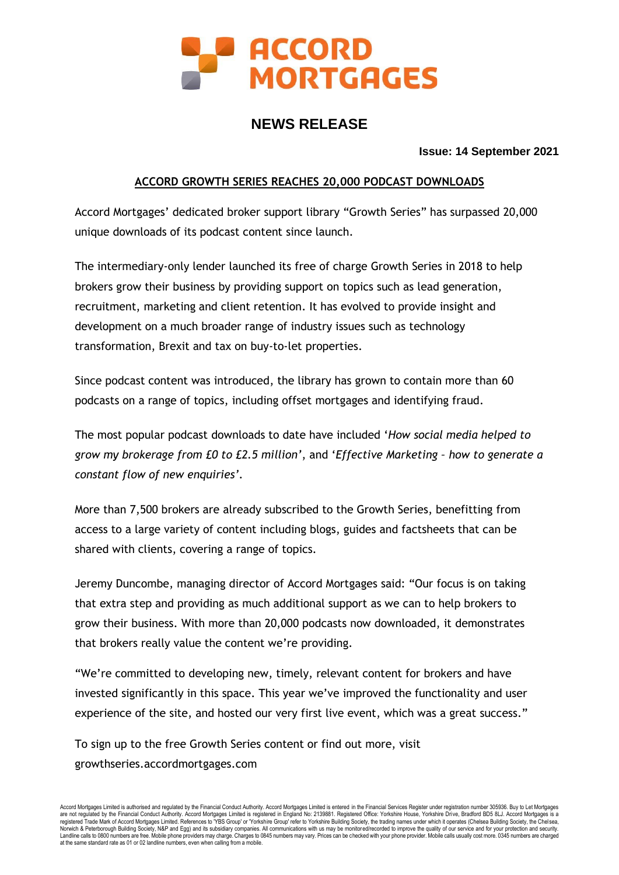

# **NEWS RELEASE**

**Issue: 14 September 2021**

## **ACCORD GROWTH SERIES REACHES 20,000 PODCAST DOWNLOADS**

Accord Mortgages' dedicated broker support library "Growth Series" has surpassed 20,000 unique downloads of its podcast content since launch.

The intermediary-only lender launched its free of charge Growth Series in 2018 to help brokers grow their business by providing support on topics such as lead generation, recruitment, marketing and client retention. It has evolved to provide insight and development on a much broader range of industry issues such as technology transformation, Brexit and tax on buy-to-let properties.

Since podcast content was introduced, the library has grown to contain more than 60 podcasts on a range of topics, including offset mortgages and identifying fraud.

The most popular podcast downloads to date have included '*How social media helped to grow my brokerage from £0 to £2.5 million'*, and '*Effective Marketing – how to generate a constant flow of new enquiries'.*

More than 7,500 brokers are already subscribed to the Growth Series, benefitting from access to a large variety of content including blogs, guides and factsheets that can be shared with clients, covering a range of topics.

Jeremy Duncombe, managing director of Accord Mortgages said: "Our focus is on taking that extra step and providing as much additional support as we can to help brokers to grow their business. With more than 20,000 podcasts now downloaded, it demonstrates that brokers really value the content we're providing.

"We're committed to developing new, timely, relevant content for brokers and have invested significantly in this space. This year we've improved the functionality and user experience of the site, and hosted our very first live event, which was a great success."

To sign up to the free Growth Series content or find out more, visit growthseries.accordmortgages.com

Accord Mortgages Limited is authorised and regulated by the Financial Conduct Authority. Accord Mortgages Limited is entered in the Financial Services Register under registration number 305936. Buy to Let Mortgages is a<br>re at the same standard rate as 01 or 02 landline numbers, even when calling from a mobile.